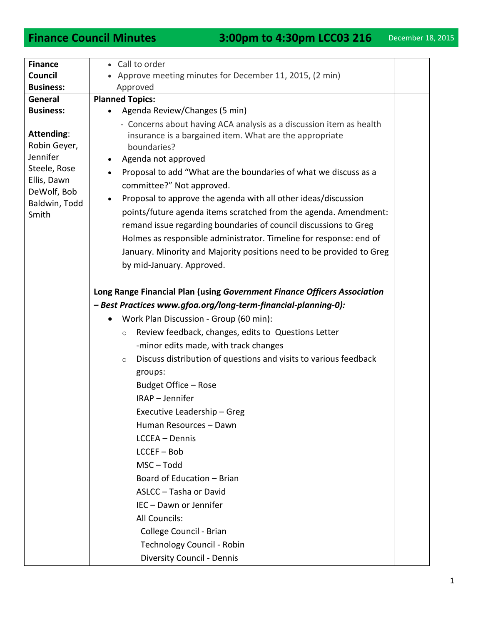| <b>Finance</b><br>Council                                                                                      | • Call to order                                                                                                                                                                                                                                                                                                                                                                                                          |  |
|----------------------------------------------------------------------------------------------------------------|--------------------------------------------------------------------------------------------------------------------------------------------------------------------------------------------------------------------------------------------------------------------------------------------------------------------------------------------------------------------------------------------------------------------------|--|
| <b>Business:</b>                                                                                               | Approve meeting minutes for December 11, 2015, (2 min)<br>Approved                                                                                                                                                                                                                                                                                                                                                       |  |
| General                                                                                                        |                                                                                                                                                                                                                                                                                                                                                                                                                          |  |
| <b>Business:</b>                                                                                               | <b>Planned Topics:</b><br>Agenda Review/Changes (5 min)                                                                                                                                                                                                                                                                                                                                                                  |  |
|                                                                                                                |                                                                                                                                                                                                                                                                                                                                                                                                                          |  |
| Attending:<br>Robin Geyer,<br>Jennifer<br>Steele, Rose<br>Ellis, Dawn<br>DeWolf, Bob<br>Baldwin, Todd<br>Smith | - Concerns about having ACA analysis as a discussion item as health<br>insurance is a bargained item. What are the appropriate<br>boundaries?<br>Agenda not approved<br>Proposal to add "What are the boundaries of what we discuss as a<br>$\bullet$<br>committee?" Not approved.<br>Proposal to approve the agenda with all other ideas/discussion<br>points/future agenda items scratched from the agenda. Amendment: |  |
|                                                                                                                | remand issue regarding boundaries of council discussions to Greg                                                                                                                                                                                                                                                                                                                                                         |  |
|                                                                                                                | Holmes as responsible administrator. Timeline for response: end of<br>January. Minority and Majority positions need to be provided to Greg<br>by mid-January. Approved.                                                                                                                                                                                                                                                  |  |
|                                                                                                                | Long Range Financial Plan (using Government Finance Officers Association<br>- Best Practices www.gfoa.org/long-term-financial-planning-0):                                                                                                                                                                                                                                                                               |  |
|                                                                                                                | Work Plan Discussion - Group (60 min):                                                                                                                                                                                                                                                                                                                                                                                   |  |
|                                                                                                                |                                                                                                                                                                                                                                                                                                                                                                                                                          |  |
|                                                                                                                | Review feedback, changes, edits to Questions Letter<br>$\circ$                                                                                                                                                                                                                                                                                                                                                           |  |
|                                                                                                                | -minor edits made, with track changes                                                                                                                                                                                                                                                                                                                                                                                    |  |
|                                                                                                                | Discuss distribution of questions and visits to various feedback<br>$\circ$<br>groups:                                                                                                                                                                                                                                                                                                                                   |  |
|                                                                                                                | Budget Office - Rose                                                                                                                                                                                                                                                                                                                                                                                                     |  |
|                                                                                                                | IRAP - Jennifer                                                                                                                                                                                                                                                                                                                                                                                                          |  |
|                                                                                                                | Executive Leadership - Greg                                                                                                                                                                                                                                                                                                                                                                                              |  |
|                                                                                                                | Human Resources - Dawn                                                                                                                                                                                                                                                                                                                                                                                                   |  |
|                                                                                                                | LCCEA - Dennis                                                                                                                                                                                                                                                                                                                                                                                                           |  |
|                                                                                                                | $LCCEF - Bob$                                                                                                                                                                                                                                                                                                                                                                                                            |  |
|                                                                                                                | MSC-Todd                                                                                                                                                                                                                                                                                                                                                                                                                 |  |
|                                                                                                                | Board of Education - Brian                                                                                                                                                                                                                                                                                                                                                                                               |  |
|                                                                                                                | ASLCC - Tasha or David                                                                                                                                                                                                                                                                                                                                                                                                   |  |
|                                                                                                                | IEC - Dawn or Jennifer                                                                                                                                                                                                                                                                                                                                                                                                   |  |
|                                                                                                                | All Councils:                                                                                                                                                                                                                                                                                                                                                                                                            |  |
|                                                                                                                | College Council - Brian                                                                                                                                                                                                                                                                                                                                                                                                  |  |
|                                                                                                                | Technology Council - Robin                                                                                                                                                                                                                                                                                                                                                                                               |  |
|                                                                                                                | <b>Diversity Council - Dennis</b>                                                                                                                                                                                                                                                                                                                                                                                        |  |